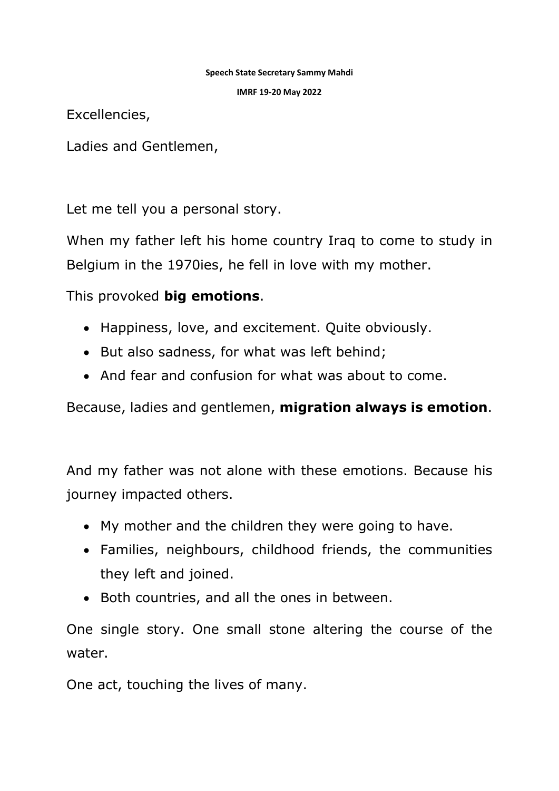## **Speech State Secretary Sammy Mahdi**

**IMRF 19-20 May 2022**

Excellencies,

Ladies and Gentlemen,

Let me tell you a personal story.

When my father left his home country Iraq to come to study in Belgium in the 1970ies, he fell in love with my mother.

This provoked **big emotions**.

- Happiness, love, and excitement. Quite obviously.
- But also sadness, for what was left behind;
- And fear and confusion for what was about to come.

Because, ladies and gentlemen, **migration always is emotion**.

And my father was not alone with these emotions. Because his journey impacted others.

- My mother and the children they were going to have.
- Families, neighbours, childhood friends, the communities they left and joined.
- Both countries, and all the ones in between.

One single story. One small stone altering the course of the water.

One act, touching the lives of many.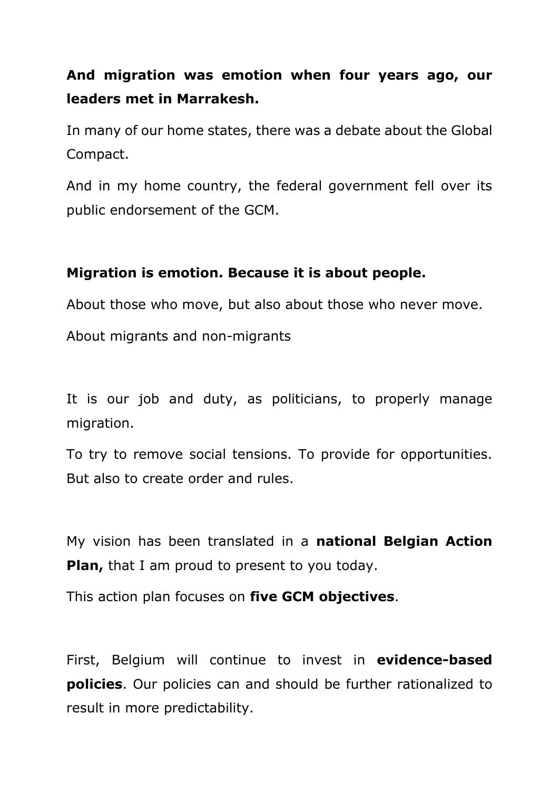## **And migration was emotion when four years ago, our leaders met in Marrakesh.**

In many of our home states, there was a debate about the Global Compact.

And in my home country, the federal government fell over its public endorsement of the GCM.

## **Migration is emotion. Because it is about people.**

About those who move, but also about those who never move.

About migrants and non-migrants

It is our job and duty, as politicians, to properly manage migration.

To try to remove social tensions. To provide for opportunities. But also to create order and rules.

My vision has been translated in a **national Belgian Action Plan,** that I am proud to present to you today.

This action plan focuses on **five GCM objectives**.

First, Belgium will continue to invest in **evidence-based policies**. Our policies can and should be further rationalized to result in more predictability.